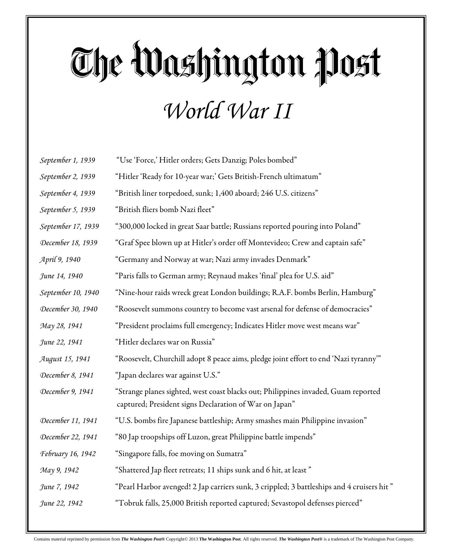## The Washington Post *World War II*

| September 1, 1939  | "Use 'Force,' Hitler orders; Gets Danzig; Poles bombed"                                                                                      |
|--------------------|----------------------------------------------------------------------------------------------------------------------------------------------|
| September 2, 1939  | "Hitler 'Ready for 10-year war;' Gets British-French ultimatum"                                                                              |
| September 4, 1939  | "British liner torpedoed, sunk; 1,400 aboard; 246 U.S. citizens"                                                                             |
| September 5, 1939  | "British fliers bomb Nazi fleet"                                                                                                             |
| September 17, 1939 | "300,000 locked in great Saar battle; Russians reported pouring into Poland"                                                                 |
| December 18, 1939  | "Graf Spee blown up at Hitler's order off Montevideo; Crew and captain safe"                                                                 |
| April 9, 1940      | "Germany and Norway at war; Nazi army invades Denmark"                                                                                       |
| June 14, 1940      | "Paris falls to German army; Reynaud makes 'final' plea for U.S. aid"                                                                        |
| September 10, 1940 | "Nine-hour raids wreck great London buildings; R.A.F. bombs Berlin, Hamburg"                                                                 |
| December 30, 1940  | "Roosevelt summons country to become vast arsenal for defense of democracies"                                                                |
| May 28, 1941       | "President proclaims full emergency; Indicates Hitler move west means war"                                                                   |
| June 22, 1941      | "Hitler declares war on Russia"                                                                                                              |
| August 15, 1941    | "Roosevelt, Churchill adopt 8 peace aims, pledge joint effort to end 'Nazi tyranny'"                                                         |
| December 8, 1941   | "Japan declares war against U.S."                                                                                                            |
| December 9, 1941   | "Strange planes sighted, west coast blacks out; Philippines invaded, Guam reported<br>captured; President signs Declaration of War on Japan" |
| December 11, 1941  | "U.S. bombs fire Japanese battleship; Army smashes main Philippine invasion"                                                                 |
| December 22, 1941  | "80 Jap troopships off Luzon, great Philippine battle impends"                                                                               |
| February 16, 1942  | "Singapore falls, foe moving on Sumatra"                                                                                                     |
| May 9, 1942        | "Shattered Jap fleet retreats; 11 ships sunk and 6 hit, at least "                                                                           |
| June 7, 1942       | "Pearl Harbor avenged! 2 Jap carriers sunk, 3 crippled; 3 battleships and 4 cruisers hit "                                                   |
| June 22, 1942      | "Tobruk falls, 25,000 British reported captured; Sevastopol defenses pierced"                                                                |
|                    |                                                                                                                                              |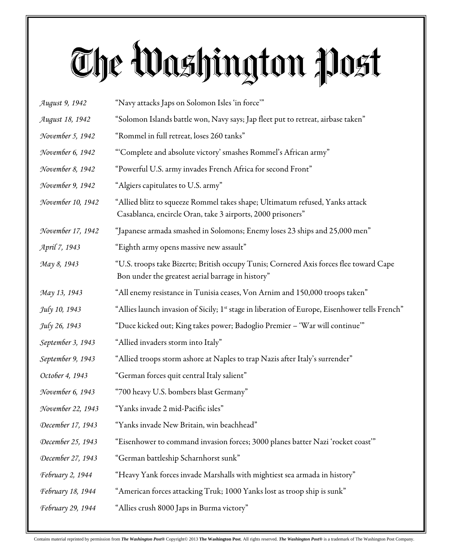## The Washington Post

| August 9, 1942          | "Navy attacks Japs on Solomon Isles 'in force"                                                                                              |
|-------------------------|---------------------------------------------------------------------------------------------------------------------------------------------|
| August 18, 1942         | "Solomon Islands battle won, Navy says; Jap fleet put to retreat, airbase taken"                                                            |
| November 5, 1942        | "Rommel in full retreat, loses 260 tanks"                                                                                                   |
| November 6, 1942        | "Complete and absolute victory' smashes Rommel's African army"                                                                              |
| November 8, 1942        | "Powerful U.S. army invades French Africa for second Front"                                                                                 |
| November 9, 1942        | "Algiers capitulates to U.S. army"                                                                                                          |
| November 10, 1942       | "Allied blitz to squeeze Rommel takes shape; Ultimatum refused, Yanks attack<br>Casablanca, encircle Oran, take 3 airports, 2000 prisoners" |
| November 17, 1942       | "Japanese armada smashed in Solomons; Enemy loses 23 ships and 25,000 men"                                                                  |
| April 7, 1943           | "Eighth army opens massive new assault"                                                                                                     |
| May 8, 1943             | "U.S. troops take Bizerte; British occupy Tunis; Cornered Axis forces flee toward Cape<br>Bon under the greatest aerial barrage in history" |
| May 13, 1943            | "All enemy resistance in Tunisia ceases, Von Arnim and 150,000 troops taken"                                                                |
| July 10, 1943           | "Allies launch invasion of Sicily; 1 <sup>st</sup> stage in liberation of Europe, Eisenhower tells French"                                  |
| July 26, 1943           | "Duce kicked out; King takes power; Badoglio Premier – 'War will continue'"                                                                 |
| September 3, 1943       | "Allied invaders storm into Italy"                                                                                                          |
| September 9, 1943       | "Allied troops storm ashore at Naples to trap Nazis after Italy's surrender"                                                                |
| October 4, 1943         | "German forces quit central Italy salient"                                                                                                  |
| November 6, 1943        | "700 heavy U.S. bombers blast Germany"                                                                                                      |
| November 22, 1943       | "Yanks invade 2 mid-Pacific isles"                                                                                                          |
| December 17, 1943       | "Yanks invade New Britain, win beachhead"                                                                                                   |
| December 25, 1943       | "Eisenhower to command invasion forces; 3000 planes batter Nazi 'rocket coast'"                                                             |
| December 27, 1943       | "German battleship Scharnhorst sunk"                                                                                                        |
| <i>February 2, 1944</i> | "Heavy Yank forces invade Marshalls with mightiest sea armada in history"                                                                   |
| February 18, 1944       | "American forces attacking Truk; 1000 Yanks lost as troop ship is sunk"                                                                     |
| February 29, 1944       | "Allies crush 8000 Japs in Burma victory"                                                                                                   |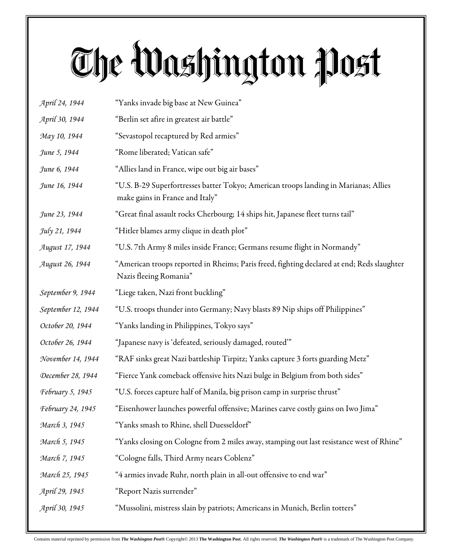## The Washington Post

| April 24, 1944     | "Yanks invade big base at New Guinea"                                                                                   |
|--------------------|-------------------------------------------------------------------------------------------------------------------------|
| April 30, 1944     | "Berlin set afire in greatest air battle"                                                                               |
| May 10, 1944       | "Sevastopol recaptured by Red armies"                                                                                   |
| June 5, 1944       | "Rome liberated; Vatican safe"                                                                                          |
| June 6, 1944       | "Allies land in France, wipe out big air bases"                                                                         |
| June 16, 1944      | "U.S. B-29 Superfortresses batter Tokyo; American troops landing in Marianas; Allies<br>make gains in France and Italy" |
| June 23, 1944      | "Great final assault rocks Cherbourg; 14 ships hit, Japanese fleet turns tail"                                          |
| July 21, 1944      | "Hitler blames army clique in death plot"                                                                               |
| August 17, 1944    | "U.S. 7th Army 8 miles inside France; Germans resume flight in Normandy"                                                |
| August 26, 1944    | "American troops reported in Rheims; Paris freed, fighting declared at end; Reds slaughter<br>Nazis fleeing Romania"    |
| September 9, 1944  | "Liege taken, Nazi front buckling"                                                                                      |
| September 12, 1944 | "U.S. troops thunder into Germany; Navy blasts 89 Nip ships off Philippines"                                            |
| October 20, 1944   | "Yanks landing in Philippines, Tokyo says"                                                                              |
| October 26, 1944   | "Japanese navy is 'defeated, seriously damaged, routed'"                                                                |
| November 14, 1944  | "RAF sinks great Nazi battleship Tirpitz; Yanks capture 3 forts guarding Metz"                                          |
| December 28, 1944  | "Fierce Yank comeback offensive hits Nazi bulge in Belgium from both sides"                                             |
| February 5, 1945   | "U.S. forces capture half of Manila, big prison camp in surprise thrust"                                                |
| February 24, 1945  | "Eisenhower launches powerful offensive; Marines carve costly gains on Iwo Jima"                                        |
| March 3, 1945      | "Yanks smash to Rhine, shell Duesseldorf"                                                                               |
| March 5, 1945      | "Yanks closing on Cologne from 2 miles away, stamping out last resistance west of Rhine"                                |
| March 7, 1945      | "Cologne falls, Third Army nears Coblenz"                                                                               |
| March 25, 1945     | "4 armies invade Ruhr, north plain in all-out offensive to end war"                                                     |
| April 29, 1945     | "Report Nazis surrender"                                                                                                |
| April 30, 1945     | "Mussolini, mistress slain by patriots; Americans in Munich, Berlin totters"                                            |